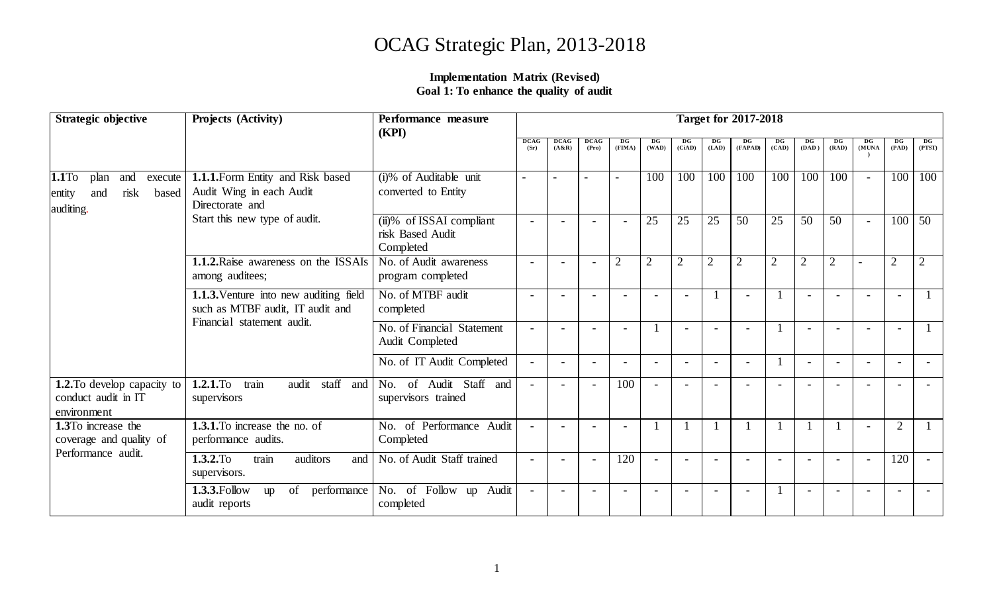# OCAG Strategic Plan, 2013-2018

#### **Implementation Matrix (Revised) Goal 1: To enhance the quality of audit**

| Strategic objective                                                            | Projects (Activity)                                                              | Performance measure<br>(KPI)                                            | <b>Target for 2017-2018</b> |                 |                      |                          |                |                |                |                |                |                |                          |                          |                |                |
|--------------------------------------------------------------------------------|----------------------------------------------------------------------------------|-------------------------------------------------------------------------|-----------------------------|-----------------|----------------------|--------------------------|----------------|----------------|----------------|----------------|----------------|----------------|--------------------------|--------------------------|----------------|----------------|
|                                                                                |                                                                                  |                                                                         | <b>DCAG</b><br>(Sr)         | DCAG<br>(A & R) | <b>DCAG</b><br>(Pro) | DG<br>(FIMA)             | DG<br>(WAD)    | DG<br>(CiAD)   | DG<br>(LAD)    | DG<br>(FAPAD)  | DG<br>(CAD)    | DG<br>(DAD)    | DG<br>(RAD)              | DG<br>(MUNA              | DG<br>(PAD)    | DG<br>(PTST)   |
| 1.1To<br>plan<br>and<br>execute<br>risk<br>based<br>and<br>entity<br>auditing. | 1.1.1. Form Entity and Risk based<br>Audit Wing in each Audit<br>Directorate and | (i)% of Auditable unit<br>converted to Entity                           |                             |                 |                      |                          | 100            | 100            | 100            | 100            | 100            | 100            | 100                      |                          | 100            | 100            |
|                                                                                | Start this new type of audit.                                                    | $\overline{(ii)}\%$ of ISSAI compliant<br>risk Based Audit<br>Completed | $\overline{a}$              |                 |                      | $\overline{\phantom{0}}$ | 25             | 25             | 25             | 50             | 25             | 50             | 50                       | $\overline{\phantom{a}}$ | 100            | 50             |
|                                                                                | <b>1.1.2.</b> Raise awareness on the ISSAIs<br>among auditees;                   | No. of Audit awareness<br>program completed                             | $\overline{\phantom{0}}$    |                 |                      | $\overline{2}$           | $\overline{2}$ | $\overline{2}$ | $\overline{2}$ | $\overline{2}$ | $\overline{2}$ | $\overline{2}$ | $\overline{2}$           |                          | $\overline{2}$ | $\overline{2}$ |
|                                                                                | 1.1.3. Venture into new auditing field<br>such as MTBF audit, IT audit and       | No. of MTBF audit<br>completed                                          | $\overline{\phantom{0}}$    |                 |                      | $\overline{\phantom{a}}$ |                |                |                |                |                |                | $\overline{\phantom{a}}$ | $\overline{\phantom{a}}$ |                |                |
|                                                                                | Financial statement audit.                                                       | No. of Financial Statement<br>Audit Completed                           | $\overline{\phantom{0}}$    |                 |                      | $\overline{\phantom{0}}$ |                |                |                |                |                |                |                          |                          | $\overline{a}$ |                |
|                                                                                |                                                                                  | No. of IT Audit Completed                                               | $\sim$                      |                 |                      | $\overline{a}$           |                |                |                |                |                |                | $\overline{\phantom{0}}$ |                          |                |                |
| <b>1.2.</b> To develop capacity to<br>conduct audit in IT<br>environment       | $1.2.1$ .To<br>train<br>staff<br>audit<br>and<br>supervisors                     | of Audit Staff and<br>No.<br>supervisors trained                        |                             |                 |                      | 100                      |                |                |                |                |                |                |                          |                          |                |                |
| 1.3To increase the<br>coverage and quality of<br>Performance audit.            | 1.3.1. To increase the no. of<br>performance audits.                             | of Performance Audit<br>No.<br>Completed                                | $\blacksquare$              |                 |                      | $\overline{a}$           |                |                |                |                |                |                |                          |                          | $\overline{2}$ |                |
|                                                                                | train<br>1.3.2.To<br>auditors<br>and<br>supervisors.                             | No. of Audit Staff trained                                              | $\overline{\phantom{0}}$    |                 |                      | 120                      |                |                |                |                |                |                |                          |                          | 120            |                |
|                                                                                | 1.3.3. Follow<br>performance<br>of<br>up<br>audit reports                        | of Follow up Audit<br>No.<br>completed                                  | $\sim$                      |                 |                      | $\overline{a}$           |                |                |                |                |                |                | $\overline{\phantom{a}}$ |                          |                |                |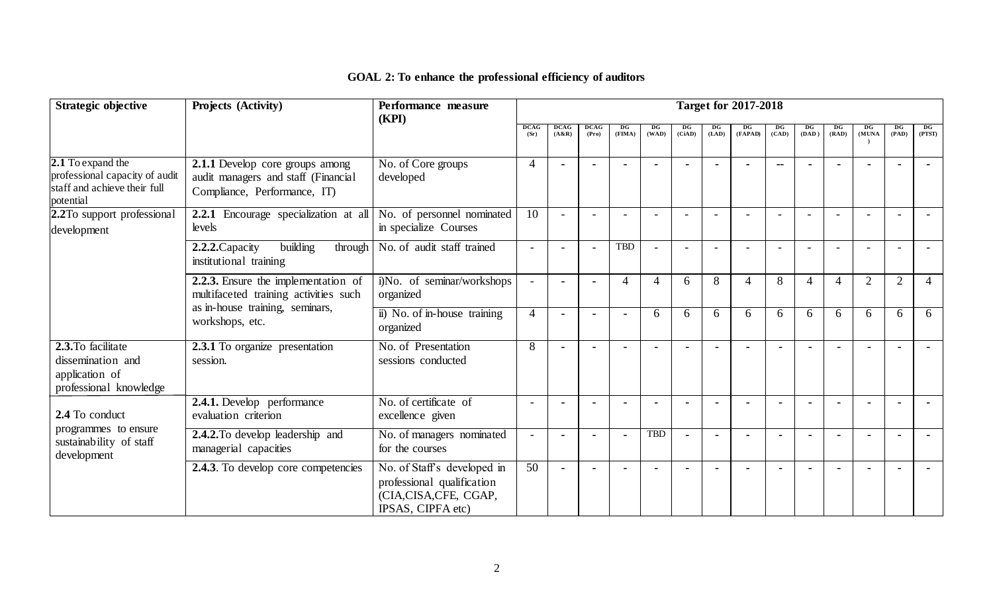| Strategic objective                                                                              | Projects (Activity)<br><b>Target for 2017-2018</b><br>Performance measure<br>(KPI)                                                 |                                                                                                        |                          |                        |                      |                |                |              |             |                |             |                |                |                |                |                |  |  |  |  |  |
|--------------------------------------------------------------------------------------------------|------------------------------------------------------------------------------------------------------------------------------------|--------------------------------------------------------------------------------------------------------|--------------------------|------------------------|----------------------|----------------|----------------|--------------|-------------|----------------|-------------|----------------|----------------|----------------|----------------|----------------|--|--|--|--|--|
|                                                                                                  |                                                                                                                                    |                                                                                                        | <b>DCAG</b><br>(Sr)      | <b>DCAG</b><br>(A & R) | <b>DCAG</b><br>(Pro) | DG<br>(FIMA)   | DG<br>(WAD)    | DG<br>(CiAD) | DG<br>(LAD) | DG<br>(FAPAD)  | DG<br>(CAD) | DG<br>(DAD)    | DG<br>(RAD)    | DG<br>(MUNA    | DG<br>(PAD)    | DG<br>(PTST)   |  |  |  |  |  |
| 2.1 To expand the<br>professional capacity of audit<br>staff and achieve their full<br>potential | 2.1.1 Develop core groups among<br>audit managers and staff (Financial<br>Compliance, Performance, IT)                             | No. of Core groups<br>developed                                                                        | $\overline{4}$           |                        |                      |                |                |              |             |                | $-$         |                |                |                |                |                |  |  |  |  |  |
| 2.2To support professional<br>development                                                        | 2.2.1 Encourage specialization at all<br>levels                                                                                    | No. of personnel nominated<br>in specialize Courses                                                    | 10                       |                        |                      |                |                |              |             |                |             |                |                |                |                |                |  |  |  |  |  |
|                                                                                                  | 2.2.2. Capacity<br>building<br>through<br>institutional training                                                                   | No. of audit staff trained                                                                             |                          |                        |                      | <b>TBD</b>     |                |              |             |                |             |                |                |                |                |                |  |  |  |  |  |
|                                                                                                  | 2.2.3. Ensure the implementation of<br>multifaceted training activities such<br>as in-house training, seminars,<br>workshops, etc. | i)No. of seminar/workshops<br>organized                                                                |                          |                        |                      | $\overline{4}$ | $\overline{4}$ | 6            | 8           | $\overline{4}$ | 8           | $\overline{4}$ | $\overline{4}$ | $\overline{2}$ | $\overline{2}$ | $\overline{4}$ |  |  |  |  |  |
|                                                                                                  |                                                                                                                                    | ii) No. of in-house training<br>organized                                                              | $\overline{4}$           |                        |                      |                | 6              | 6            | 6           | 6              | 6           | 6              | 6              | 6              | 6              | 6              |  |  |  |  |  |
| 2.3. To facilitate<br>dissemination and<br>application of<br>professional knowledge              | 2.3.1 To organize presentation<br>session.                                                                                         | No. of Presentation<br>sessions conducted                                                              | 8                        |                        |                      |                |                |              |             |                |             |                |                |                |                |                |  |  |  |  |  |
| 2.4 To conduct                                                                                   | 2.4.1. Develop performance<br>evaluation criterion                                                                                 | No. of certificate of<br>excellence given                                                              |                          |                        |                      |                |                |              |             |                |             |                |                | $\blacksquare$ |                |                |  |  |  |  |  |
| programmes to ensure<br>sustainability of staff<br>development                                   | 2.4.2. To develop leadership and<br>managerial capacities                                                                          | No. of managers nominated<br>for the courses                                                           | $\overline{\phantom{a}}$ |                        |                      |                | <b>TBD</b>     |              |             |                |             |                |                |                |                |                |  |  |  |  |  |
|                                                                                                  | <b>2.4.3</b> . To develop core competencies                                                                                        | No. of Staff's developed in<br>professional qualification<br>(CIA,CISA,CFE, CGAP,<br>IPSAS, CIPFA etc) | 50                       |                        |                      |                |                |              |             |                |             |                |                |                |                |                |  |  |  |  |  |

## **GOAL 2: To enhance the professional efficiency of auditors**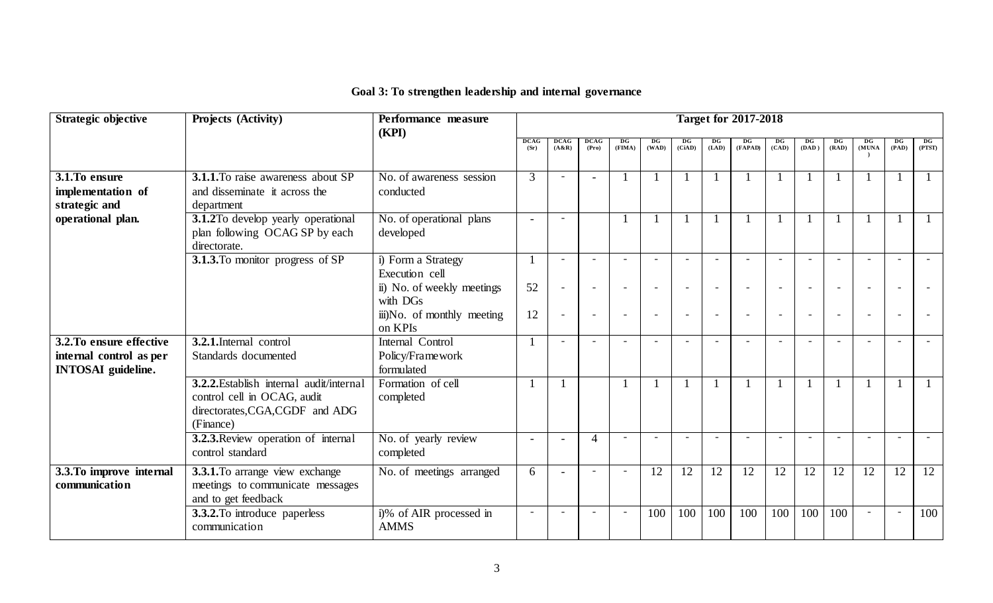| <b>Strategic objective</b> | Projects (Activity)                       | Performance measure        | <b>Target for 2017-2018</b> |                          |                          |                          |        |             |       |                          |                          |         |       |           |                        |        |
|----------------------------|-------------------------------------------|----------------------------|-----------------------------|--------------------------|--------------------------|--------------------------|--------|-------------|-------|--------------------------|--------------------------|---------|-------|-----------|------------------------|--------|
|                            |                                           | (KPI)                      | <b>DCAG</b>                 | <b>DCAG</b>              | <b>DCAG</b>              | DG                       | DG     | $_{\rm DG}$ |       | $_{DG}$                  |                          | $_{DG}$ | DG    | <b>DG</b> | $\mathbf{D}\mathbf{G}$ | DG     |
|                            |                                           |                            | (Sr)                        | (A & R)                  | (Pro)                    | (FIMA)                   | (WAD)  | (CiAD)      | (LAD) | (FAPAD)                  | (CAD)                    | (DAD)   | (RAD) | (MUNA     | (PAD)                  | (PTST) |
|                            |                                           |                            |                             |                          |                          |                          |        |             |       |                          |                          |         |       |           |                        |        |
| $3.1$ . To ensure          | <b>3.1.1.</b> To raise awareness about SP | No. of awareness session   | 3                           |                          |                          |                          |        |             |       |                          |                          |         |       |           |                        |        |
| implementation of          | and disseminate it across the             | conducted                  |                             |                          |                          |                          |        |             |       |                          |                          |         |       |           |                        |        |
| strategic and              | department                                |                            |                             |                          |                          |                          |        |             |       |                          |                          |         |       |           |                        |        |
| operational plan.          | 3.1.2To develop yearly operational        | No. of operational plans   | $\overline{a}$              | $\sim$                   |                          |                          |        |             |       |                          |                          |         |       |           |                        |        |
|                            | plan following OCAG SP by each            | developed                  |                             |                          |                          |                          |        |             |       |                          |                          |         |       |           |                        |        |
|                            | directorate.                              |                            |                             |                          |                          |                          |        |             |       |                          |                          |         |       |           |                        |        |
|                            | 3.1.3. To monitor progress of SP          | i) Form a Strategy         |                             |                          |                          |                          |        |             |       |                          |                          |         |       |           |                        |        |
|                            |                                           | Execution cell             |                             |                          |                          |                          |        |             |       |                          |                          |         |       |           |                        |        |
|                            |                                           | ii) No. of weekly meetings | 52                          |                          |                          | $\overline{\phantom{a}}$ |        |             |       | $\overline{\phantom{a}}$ | $\overline{\phantom{a}}$ |         |       |           |                        |        |
|                            |                                           | with DGs                   |                             |                          |                          |                          |        |             |       |                          |                          |         |       |           |                        |        |
|                            |                                           | iii)No. of monthly meeting | 12                          |                          | $\overline{\phantom{0}}$ |                          |        | $\sim$      |       | $\overline{\phantom{0}}$ | $\sim$                   |         |       |           |                        |        |
|                            |                                           | on KPIs                    |                             |                          |                          |                          |        |             |       |                          |                          |         |       |           |                        |        |
| 3.2. To ensure effective   | 3.2.1. Internal control                   | Internal Control           |                             |                          |                          | $\sim$                   | $\sim$ |             |       | ÷                        | $\sim$                   |         |       |           |                        |        |
| internal control as per    | Standards documented                      | Policy/Framework           |                             |                          |                          |                          |        |             |       |                          |                          |         |       |           |                        |        |
| <b>INTOSAI</b> guideline.  |                                           | formulated                 |                             |                          |                          |                          |        |             |       |                          |                          |         |       |           |                        |        |
|                            | 3.2.2. Establish internal audit/internal  | Formation of cell          |                             |                          |                          |                          |        |             |       |                          |                          |         |       |           |                        |        |
|                            | control cell in OCAG, audit               | completed                  |                             |                          |                          |                          |        |             |       |                          |                          |         |       |           |                        |        |
|                            | directorates, CGA, CGDF and ADG           |                            |                             |                          |                          |                          |        |             |       |                          |                          |         |       |           |                        |        |
|                            | (Finance)                                 |                            |                             |                          |                          |                          |        |             |       |                          |                          |         |       |           |                        |        |
|                            | 3.2.3. Review operation of internal       | No. of yearly review       | $\overline{a}$              |                          | 4                        | $\sim$                   | $\sim$ |             |       |                          |                          |         |       |           |                        |        |
|                            | control standard                          | completed                  |                             |                          |                          |                          |        |             |       |                          |                          |         |       |           |                        |        |
| 3.3. To improve internal   | 3.3.1. To arrange view exchange           | No. of meetings arranged   | 6                           |                          |                          | $\sim$                   | 12     | 12          | 12    | 12                       | 12                       | 12      | 12    | 12        | 12                     | 12     |
| communication              | meetings to communicate messages          |                            |                             |                          |                          |                          |        |             |       |                          |                          |         |       |           |                        |        |
|                            | and to get feedback                       |                            |                             |                          |                          |                          |        |             |       |                          |                          |         |       |           |                        |        |
|                            | 3.3.2. To introduce paperless             | i)% of AIR processed in    | $\sim$                      | $\overline{\phantom{a}}$ |                          | $\sim$                   | 100    | 100         | 100   | 100                      | 100                      | 100     | 100   |           |                        | 100    |
|                            | communication                             | <b>AMMS</b>                |                             |                          |                          |                          |        |             |       |                          |                          |         |       |           |                        |        |

## **Goal 3: To strengthen leadership and internal governance**